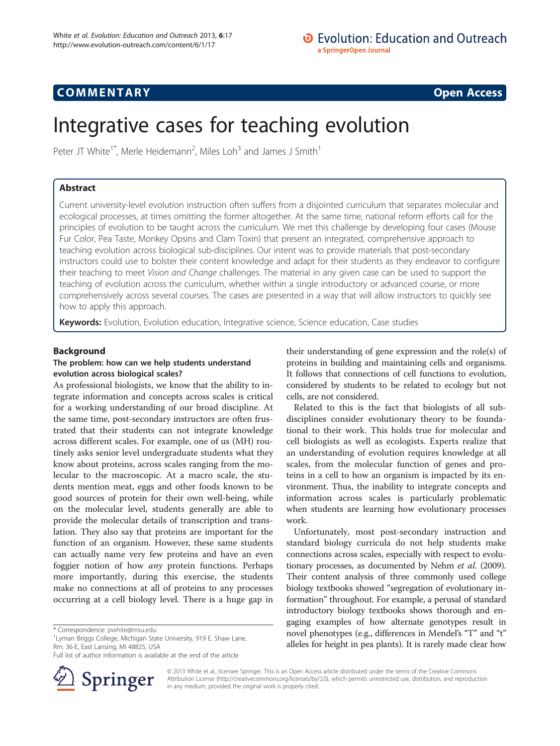# COMM EN TARY Open Access

# Integrative cases for teaching evolution

Peter JT White<sup>1\*</sup>, Merle Heidemann<sup>2</sup>, Miles Loh<sup>3</sup> and James J Smith<sup>1</sup>

# Abstract

Current university-level evolution instruction often suffers from a disjointed curriculum that separates molecular and ecological processes, at times omitting the former altogether. At the same time, national reform efforts call for the principles of evolution to be taught across the curriculum. We met this challenge by developing four cases (Mouse Fur Color, Pea Taste, Monkey Opsins and Clam Toxin) that present an integrated, comprehensive approach to teaching evolution across biological sub-disciplines. Our intent was to provide materials that post-secondary instructors could use to bolster their content knowledge and adapt for their students as they endeavor to configure their teaching to meet Vision and Change challenges. The material in any given case can be used to support the teaching of evolution across the curriculum, whether within a single introductory or advanced course, or more comprehensively across several courses. The cases are presented in a way that will allow instructors to quickly see how to apply this approach.

Keywords: Evolution, Evolution education, Integrative science, Science education, Case studies

# Background

## The problem: how can we help students understand evolution across biological scales?

As professional biologists, we know that the ability to integrate information and concepts across scales is critical for a working understanding of our broad discipline. At the same time, post-secondary instructors are often frustrated that their students can not integrate knowledge across different scales. For example, one of us (MH) routinely asks senior level undergraduate students what they know about proteins, across scales ranging from the molecular to the macroscopic. At a macro scale, the students mention meat, eggs and other foods known to be good sources of protein for their own well-being, while on the molecular level, students generally are able to provide the molecular details of transcription and translation. They also say that proteins are important for the function of an organism. However, these same students can actually name very few proteins and have an even foggier notion of how any protein functions. Perhaps more importantly, during this exercise, the students make no connections at all of proteins to any processes occurring at a cell biology level. There is a huge gap in

<sup>1</sup> Lyman Briggs College, Michigan State University, 919 E. Shaw Lane, Rm. 36-E, East Lansing, MI 48825, USA

Full list of author information is available at the end of the article



their understanding of gene expression and the role(s) of proteins in building and maintaining cells and organisms. It follows that connections of cell functions to evolution, considered by students to be related to ecology but not cells, are not considered.

Related to this is the fact that biologists of all subdisciplines consider evolutionary theory to be foundational to their work. This holds true for molecular and cell biologists as well as ecologists. Experts realize that an understanding of evolution requires knowledge at all scales, from the molecular function of genes and proteins in a cell to how an organism is impacted by its environment. Thus, the inability to integrate concepts and information across scales is particularly problematic when students are learning how evolutionary processes work.

Unfortunately, most post-secondary instruction and standard biology curricula do not help students make connections across scales, especially with respect to evolu-tionary processes, as documented by Nehm et al. [\(2009](#page-5-0)). Their content analysis of three commonly used college biology textbooks showed "segregation of evolutionary information" throughout. For example, a perusal of standard introductory biology textbooks shows thorough and engaging examples of how alternate genotypes result in novel phenotypes (e.g., differences in Mendel's "T" and "t" alleles for height in pea plants). It is rarely made clear how

© 2013 White et al.; licensee Springer. This is an Open Access article distributed under the terms of the Creative Commons Attribution License [\(http://creativecommons.org/licenses/by/2.0\)](http://creativecommons.org/licenses/by/2.0), which permits unrestricted use, distribution, and reproduction in any medium, provided the original work is properly cited.

<sup>\*</sup> Correspondence: [pwhite@msu.edu](mailto:pwhite@msu.edu) <sup>1</sup>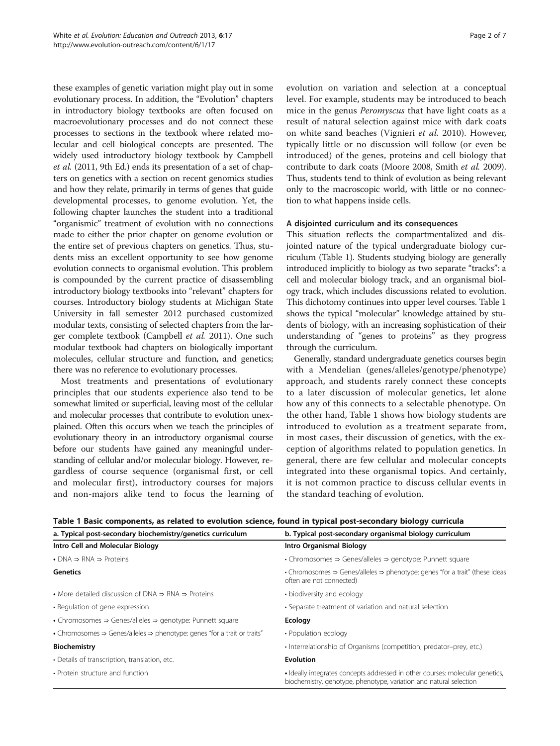these examples of genetic variation might play out in some evolutionary process. In addition, the "Evolution" chapters in introductory biology textbooks are often focused on macroevolutionary processes and do not connect these processes to sections in the textbook where related molecular and cell biological concepts are presented. The widely used introductory biology textbook by Campbell et al. [\(2011](#page-5-0), 9th Ed.) ends its presentation of a set of chapters on genetics with a section on recent genomics studies and how they relate, primarily in terms of genes that guide developmental processes, to genome evolution. Yet, the following chapter launches the student into a traditional "organismic" treatment of evolution with no connections made to either the prior chapter on genome evolution or the entire set of previous chapters on genetics. Thus, students miss an excellent opportunity to see how genome evolution connects to organismal evolution. This problem is compounded by the current practice of disassembling introductory biology textbooks into "relevant" chapters for courses. Introductory biology students at Michigan State University in fall semester 2012 purchased customized modular texts, consisting of selected chapters from the larger complete textbook (Campbell et al. [2011\)](#page-5-0). One such modular textbook had chapters on biologically important molecules, cellular structure and function, and genetics; there was no reference to evolutionary processes.

Most treatments and presentations of evolutionary principles that our students experience also tend to be somewhat limited or superficial, leaving most of the cellular and molecular processes that contribute to evolution unexplained. Often this occurs when we teach the principles of evolutionary theory in an introductory organismal course before our students have gained any meaningful understanding of cellular and/or molecular biology. However, regardless of course sequence (organismal first, or cell and molecular first), introductory courses for majors and non-majors alike tend to focus the learning of

evolution on variation and selection at a conceptual level. For example, students may be introduced to beach mice in the genus Peromyscus that have light coats as a result of natural selection against mice with dark coats on white sand beaches (Vignieri et al. [2010\)](#page-6-0). However, typically little or no discussion will follow (or even be introduced) of the genes, proteins and cell biology that contribute to dark coats (Moore [2008](#page-5-0), Smith et al. [2009](#page-6-0)). Thus, students tend to think of evolution as being relevant only to the macroscopic world, with little or no connection to what happens inside cells.

### A disjointed curriculum and its consequences

This situation reflects the compartmentalized and disjointed nature of the typical undergraduate biology curriculum (Table 1). Students studying biology are generally introduced implicitly to biology as two separate "tracks": a cell and molecular biology track, and an organismal biology track, which includes discussions related to evolution. This dichotomy continues into upper level courses. Table 1 shows the typical "molecular" knowledge attained by students of biology, with an increasing sophistication of their understanding of "genes to proteins" as they progress through the curriculum.

Generally, standard undergraduate genetics courses begin with a Mendelian (genes/alleles/genotype/phenotype) approach, and students rarely connect these concepts to a later discussion of molecular genetics, let alone how any of this connects to a selectable phenotype. On the other hand, Table 1 shows how biology students are introduced to evolution as a treatment separate from, in most cases, their discussion of genetics, with the exception of algorithms related to population genetics. In general, there are few cellular and molecular concepts integrated into these organismal topics. And certainly, it is not common practice to discuss cellular events in the standard teaching of evolution.

| a. Typical post-secondary biochemistry/genetics curriculum                                       | b. Typical post-secondary organismal biology curriculum                                                                                             |  |  |  |
|--------------------------------------------------------------------------------------------------|-----------------------------------------------------------------------------------------------------------------------------------------------------|--|--|--|
| Intro Cell and Molecular Biology                                                                 | Intro Organismal Biology                                                                                                                            |  |  |  |
| • DNA $\Rightarrow$ RNA $\Rightarrow$ Proteins                                                   | • Chromosomes $\Rightarrow$ Genes/alleles $\Rightarrow$ genotype: Punnett square                                                                    |  |  |  |
| <b>Genetics</b>                                                                                  | • Chromosomes $\Rightarrow$ Genes/alleles $\Rightarrow$ phenotype: genes "for a trait" (these ideas<br>often are not connected)                     |  |  |  |
| • More detailed discussion of DNA $\Rightarrow$ RNA $\Rightarrow$ Proteins                       | • biodiversity and ecology                                                                                                                          |  |  |  |
| • Regulation of gene expression                                                                  | • Separate treatment of variation and natural selection                                                                                             |  |  |  |
| • Chromosomes $\Rightarrow$ Genes/alleles $\Rightarrow$ genotype: Punnett square                 | <b>Ecology</b>                                                                                                                                      |  |  |  |
| • Chromosomes $\Rightarrow$ Genes/alleles $\Rightarrow$ phenotype: genes "for a trait or traits" | • Population ecology                                                                                                                                |  |  |  |
| Biochemistry                                                                                     | • Interrelationship of Organisms (competition, predator-prey, etc.)                                                                                 |  |  |  |
| • Details of transcription, translation, etc.                                                    | Evolution                                                                                                                                           |  |  |  |
| • Protein structure and function                                                                 | • Ideally integrates concepts addressed in other courses: molecular genetics,<br>biochemistry, genotype, phenotype, variation and natural selection |  |  |  |

| Table 1 Basic components, as related to evolution science, found in typical post-secondary biology curricula |  |  |  |  |  |  |
|--------------------------------------------------------------------------------------------------------------|--|--|--|--|--|--|
|--------------------------------------------------------------------------------------------------------------|--|--|--|--|--|--|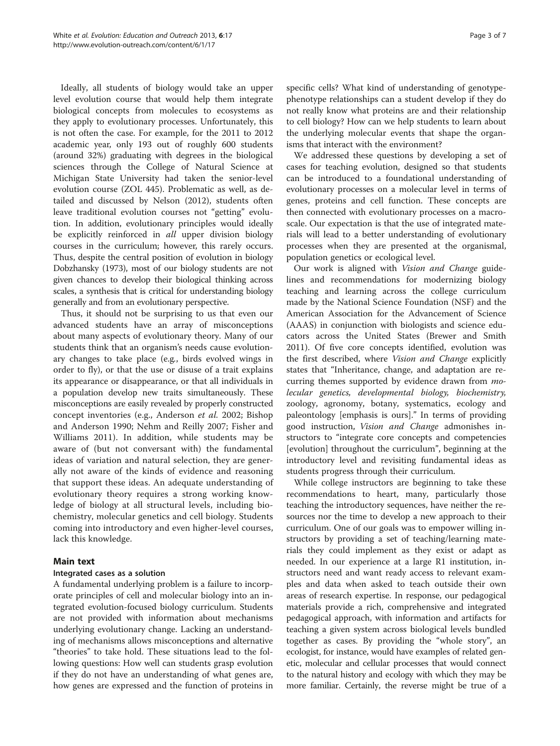Ideally, all students of biology would take an upper level evolution course that would help them integrate biological concepts from molecules to ecosystems as they apply to evolutionary processes. Unfortunately, this is not often the case. For example, for the 2011 to 2012 academic year, only 193 out of roughly 600 students (around 32%) graduating with degrees in the biological sciences through the College of Natural Science at Michigan State University had taken the senior-level evolution course (ZOL 445). Problematic as well, as detailed and discussed by Nelson ([2012\)](#page-6-0), students often leave traditional evolution courses not "getting" evolution. In addition, evolutionary principles would ideally be explicitly reinforced in all upper division biology courses in the curriculum; however, this rarely occurs. Thus, despite the central position of evolution in biology Dobzhansky ([1973\)](#page-5-0), most of our biology students are not given chances to develop their biological thinking across scales, a synthesis that is critical for understanding biology generally and from an evolutionary perspective.

Thus, it should not be surprising to us that even our advanced students have an array of misconceptions about many aspects of evolutionary theory. Many of our students think that an organism's needs cause evolutionary changes to take place (e.g., birds evolved wings in order to fly), or that the use or disuse of a trait explains its appearance or disappearance, or that all individuals in a population develop new traits simultaneously. These misconceptions are easily revealed by properly constructed concept inventories (e.g., Anderson et al. [2002](#page-5-0); Bishop and Anderson [1990;](#page-5-0) Nehm and Reilly [2007;](#page-5-0) Fisher and Williams [2011\)](#page-5-0). In addition, while students may be aware of (but not conversant with) the fundamental ideas of variation and natural selection, they are generally not aware of the kinds of evidence and reasoning that support these ideas. An adequate understanding of evolutionary theory requires a strong working knowledge of biology at all structural levels, including biochemistry, molecular genetics and cell biology. Students coming into introductory and even higher-level courses, lack this knowledge.

# Main text

# Integrated cases as a solution

A fundamental underlying problem is a failure to incorporate principles of cell and molecular biology into an integrated evolution-focused biology curriculum. Students are not provided with information about mechanisms underlying evolutionary change. Lacking an understanding of mechanisms allows misconceptions and alternative "theories" to take hold. These situations lead to the following questions: How well can students grasp evolution if they do not have an understanding of what genes are, how genes are expressed and the function of proteins in specific cells? What kind of understanding of genotypephenotype relationships can a student develop if they do not really know what proteins are and their relationship to cell biology? How can we help students to learn about the underlying molecular events that shape the organisms that interact with the environment?

We addressed these questions by developing a set of cases for teaching evolution, designed so that students can be introduced to a foundational understanding of evolutionary processes on a molecular level in terms of genes, proteins and cell function. These concepts are then connected with evolutionary processes on a macroscale. Our expectation is that the use of integrated materials will lead to a better understanding of evolutionary processes when they are presented at the organismal, population genetics or ecological level.

Our work is aligned with Vision and Change guidelines and recommendations for modernizing biology teaching and learning across the college curriculum made by the National Science Foundation (NSF) and the American Association for the Advancement of Science (AAAS) in conjunction with biologists and science educators across the United States (Brewer and Smith [2011](#page-5-0)). Of five core concepts identified, evolution was the first described, where Vision and Change explicitly states that "Inheritance, change, and adaptation are recurring themes supported by evidence drawn from molecular genetics, developmental biology, biochemistry, zoology, agronomy, botany, systematics, ecology and paleontology [emphasis is ours]." In terms of providing good instruction, Vision and Change admonishes instructors to "integrate core concepts and competencies [evolution] throughout the curriculum", beginning at the introductory level and revisiting fundamental ideas as students progress through their curriculum.

While college instructors are beginning to take these recommendations to heart, many, particularly those teaching the introductory sequences, have neither the resources nor the time to develop a new approach to their curriculum. One of our goals was to empower willing instructors by providing a set of teaching/learning materials they could implement as they exist or adapt as needed. In our experience at a large R1 institution, instructors need and want ready access to relevant examples and data when asked to teach outside their own areas of research expertise. In response, our pedagogical materials provide a rich, comprehensive and integrated pedagogical approach, with information and artifacts for teaching a given system across biological levels bundled together as cases. By providing the "whole story", an ecologist, for instance, would have examples of related genetic, molecular and cellular processes that would connect to the natural history and ecology with which they may be more familiar. Certainly, the reverse might be true of a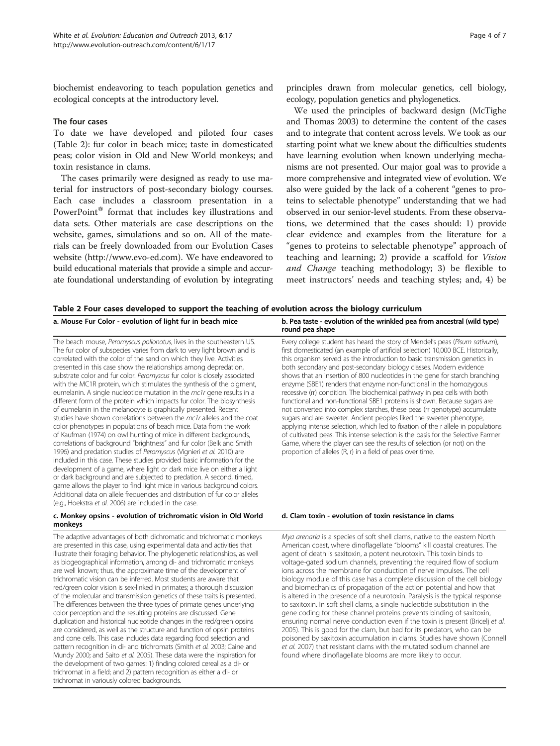<span id="page-3-0"></span>biochemist endeavoring to teach population genetics and ecological concepts at the introductory level.

### The four cases

To date we have developed and piloted four cases (Table 2): fur color in beach mice; taste in domesticated peas; color vision in Old and New World monkeys; and toxin resistance in clams.

The cases primarily were designed as ready to use material for instructors of post-secondary biology courses. Each case includes a classroom presentation in a PowerPoint® format that includes key illustrations and data sets. Other materials are case descriptions on the website, games, simulations and so on. All of the materials can be freely downloaded from our Evolution Cases website [\(http://www.evo-ed.com](http://www.evo-ed.com)). We have endeavored to build educational materials that provide a simple and accurate foundational understanding of evolution by integrating principles drawn from molecular genetics, cell biology, ecology, population genetics and phylogenetics.

We used the principles of backward design (McTighe and Thomas [2003](#page-5-0)) to determine the content of the cases and to integrate that content across levels. We took as our starting point what we knew about the difficulties students have learning evolution when known underlying mechanisms are not presented. Our major goal was to provide a more comprehensive and integrated view of evolution. We also were guided by the lack of a coherent "genes to proteins to selectable phenotype" understanding that we had observed in our senior-level students. From these observations, we determined that the cases should: 1) provide clear evidence and examples from the literature for a "genes to proteins to selectable phenotype" approach of teaching and learning; 2) provide a scaffold for Vision and Change teaching methodology; 3) be flexible to meet instructors' needs and teaching styles; and, 4) be

Every college student has heard the story of Mendel's peas (Pisum sativum), first domesticated (an example of artificial selection) 10,000 BCE. Historically, this organism served as the introduction to basic transmission genetics in both secondary and post-secondary biology classes. Modern evidence shows that an insertion of 800 nucleotides in the gene for starch branching enzyme (SBE1) renders that enzyme non-functional in the homozygous recessive (rr) condition. The biochemical pathway in pea cells with both functional and non-functional SBE1 proteins is shown. Because sugars are not converted into complex starches, these peas (rr genotype) accumulate sugars and are sweeter. Ancient peoples liked the sweeter phenotype, applying intense selection, which led to fixation of the r allele in populations of cultivated peas. This intense selection is the basis for the Selective Farmer Game, where the player can see the results of selection (or not) on the

| Table 2 Four cases developed to support the teaching of evolution across the biology curriculum |  |  |  |  |  |  |
|-------------------------------------------------------------------------------------------------|--|--|--|--|--|--|
|-------------------------------------------------------------------------------------------------|--|--|--|--|--|--|

a. Mouse Fur Color - evolution of light fur in beach mice b. Pea taste - evolution of the wrinkled pea from ancestral (wild type)

round pea shape

The beach mouse, Peromyscus polionotus, lives in the southeastern US. The fur color of subspecies varies from dark to very light brown and is correlated with the color of the sand on which they live. Activities presented in this case show the relationships among depredation, substrate color and fur color. Peromyscus fur color is closely associated with the MC1R protein, which stimulates the synthesis of the pigment, eumelanin. A single nucleotide mutation in the mc1r gene results in a different form of the protein which impacts fur color. The biosynthesis of eumelanin in the melanocyte is graphically presented. Recent studies have shown correlations between the mc1r alleles and the coat color phenotypes in populations of beach mice. Data from the work of Kaufman [\(1974\)](#page-5-0) on owl hunting of mice in different backgrounds, correlations of background "brightness" and fur color (Belk and Smith [1996](#page-5-0)) and predation studies of Peromyscus (Vignieri et al. [2010](#page-6-0)) are included in this case. These studies provided basic information for the development of a game, where light or dark mice live on either a light or dark background and are subjected to predation. A second, timed, game allows the player to find light mice in various background colors. Additional data on allele frequencies and distribution of fur color alleles (e.g., Hoekstra et al. [2006\)](#page-5-0) are included in the case.

#### c. Monkey opsins - evolution of trichromatic vision in Old World monkeys

The adaptive advantages of both dichromatic and trichromatic monkeys are presented in this case, using experimental data and activities that illustrate their foraging behavior. The phylogenetic relationships, as well as biogeographical information, among di- and trichromatic monkeys are well known; thus, the approximate time of the development of trichromatic vision can be inferred. Most students are aware that red/green color vision is sex-linked in primates; a thorough discussion of the molecular and transmission genetics of these traits is presented. The differences between the three types of primate genes underlying color perception and the resulting proteins are discussed. Gene duplication and historical nucleotide changes in the red/green opsins are considered, as well as the structure and function of opsin proteins and cone cells. This case includes data regarding food selection and pattern recognition in di- and trichromats (Smith et al. [2003;](#page-6-0) Caine and Mundy [2000](#page-5-0); and Saito et al. [2005](#page-6-0)). These data were the inspiration for the development of two games: 1) finding colored cereal as a di- or trichromat in a field; and 2) pattern recognition as either a di- or trichromat in variously colored backgrounds.

# d. Clam toxin - evolution of toxin resistance in clams

proportion of alleles (R, r) in a field of peas over time.

Mya arenaria is a species of soft shell clams, native to the eastern North American coast, where dinoflagellate "blooms" kill coastal creatures. The agent of death is saxitoxin, a potent neurotoxin. This toxin binds to voltage-gated sodium channels, preventing the required flow of sodium ions across the membrane for conduction of nerve impulses. The cell biology module of this case has a complete discussion of the cell biology and biomechanics of propagation of the action potential and how that is altered in the presence of a neurotoxin. Paralysis is the typical response to saxitoxin. In soft shell clams, a single nucleotide substitution in the gene coding for these channel proteins prevents binding of saxitoxin, ensuring normal nerve conduction even if the toxin is present (Bricelj et al. [2005](#page-5-0)). This is good for the clam, but bad for its predators, who can be poisoned by saxitoxin accumulation in clams. Studies have shown (Connell et al. [2007\)](#page-5-0) that resistant clams with the mutated sodium channel are found where dinoflagellate blooms are more likely to occur.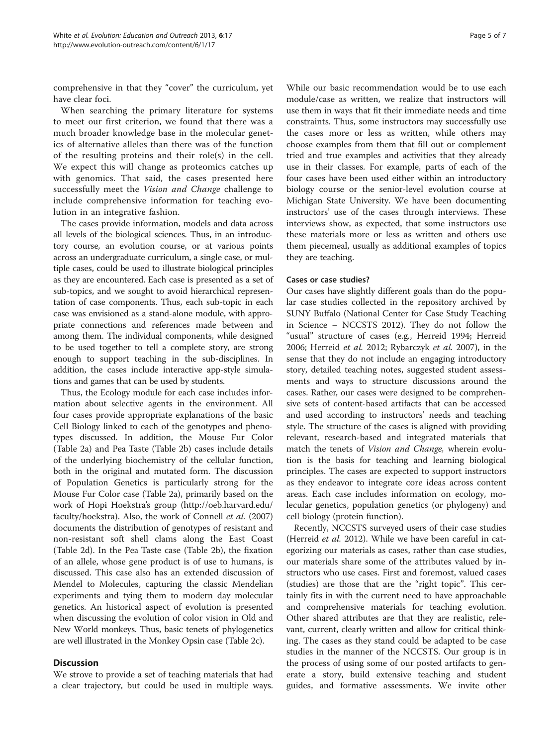comprehensive in that they "cover" the curriculum, yet have clear foci.

When searching the primary literature for systems to meet our first criterion, we found that there was a much broader knowledge base in the molecular genetics of alternative alleles than there was of the function of the resulting proteins and their role(s) in the cell. We expect this will change as proteomics catches up with genomics. That said, the cases presented here successfully meet the Vision and Change challenge to include comprehensive information for teaching evolution in an integrative fashion.

The cases provide information, models and data across all levels of the biological sciences. Thus, in an introductory course, an evolution course, or at various points across an undergraduate curriculum, a single case, or multiple cases, could be used to illustrate biological principles as they are encountered. Each case is presented as a set of sub-topics, and we sought to avoid hierarchical representation of case components. Thus, each sub-topic in each case was envisioned as a stand-alone module, with appropriate connections and references made between and among them. The individual components, while designed to be used together to tell a complete story, are strong enough to support teaching in the sub-disciplines. In addition, the cases include interactive app-style simulations and games that can be used by students.

Thus, the Ecology module for each case includes information about selective agents in the environment. All four cases provide appropriate explanations of the basic Cell Biology linked to each of the genotypes and phenotypes discussed. In addition, the Mouse Fur Color (Table [2](#page-3-0)a) and Pea Taste (Table [2](#page-3-0)b) cases include details of the underlying biochemistry of the cellular function, both in the original and mutated form. The discussion of Population Genetics is particularly strong for the Mouse Fur Color case (Table [2a](#page-3-0)), primarily based on the work of Hopi Hoekstra's group [\(http://oeb.harvard.edu/](http://oeb.harvard.edu/faculty/hoekstra) [faculty/hoekstra](http://oeb.harvard.edu/faculty/hoekstra)). Also, the work of Connell et al. ([2007](#page-5-0)) documents the distribution of genotypes of resistant and non-resistant soft shell clams along the East Coast (Table [2](#page-3-0)d). In the Pea Taste case (Table [2](#page-3-0)b), the fixation of an allele, whose gene product is of use to humans, is discussed. This case also has an extended discussion of Mendel to Molecules, capturing the classic Mendelian experiments and tying them to modern day molecular genetics. An historical aspect of evolution is presented when discussing the evolution of color vision in Old and New World monkeys. Thus, basic tenets of phylogenetics are well illustrated in the Monkey Opsin case (Table [2c](#page-3-0)).

# **Discussion**

We strove to provide a set of teaching materials that had a clear trajectory, but could be used in multiple ways.

While our basic recommendation would be to use each module/case as written, we realize that instructors will use them in ways that fit their immediate needs and time constraints. Thus, some instructors may successfully use the cases more or less as written, while others may choose examples from them that fill out or complement tried and true examples and activities that they already use in their classes. For example, parts of each of the four cases have been used either within an introductory biology course or the senior-level evolution course at Michigan State University. We have been documenting instructors' use of the cases through interviews. These interviews show, as expected, that some instructors use these materials more or less as written and others use them piecemeal, usually as additional examples of topics they are teaching.

### Cases or case studies?

Our cases have slightly different goals than do the popular case studies collected in the repository archived by SUNY Buffalo (National Center for Case Study Teaching in Science – NCCSTS [2012](#page-5-0)). They do not follow the "usual" structure of cases (e.g., Herreid [1994;](#page-5-0) Herreid [2006](#page-5-0); Herreid et al. [2012;](#page-5-0) Rybarczyk et al. [2007](#page-6-0)), in the sense that they do not include an engaging introductory story, detailed teaching notes, suggested student assessments and ways to structure discussions around the cases. Rather, our cases were designed to be comprehensive sets of content-based artifacts that can be accessed and used according to instructors' needs and teaching style. The structure of the cases is aligned with providing relevant, research-based and integrated materials that match the tenets of Vision and Change, wherein evolution is the basis for teaching and learning biological principles. The cases are expected to support instructors as they endeavor to integrate core ideas across content areas. Each case includes information on ecology, molecular genetics, population genetics (or phylogeny) and cell biology (protein function).

Recently, NCCSTS surveyed users of their case studies (Herreid et al. [2012](#page-5-0)). While we have been careful in categorizing our materials as cases, rather than case studies, our materials share some of the attributes valued by instructors who use cases. First and foremost, valued cases (studies) are those that are the "right topic". This certainly fits in with the current need to have approachable and comprehensive materials for teaching evolution. Other shared attributes are that they are realistic, relevant, current, clearly written and allow for critical thinking. The cases as they stand could be adapted to be case studies in the manner of the NCCSTS. Our group is in the process of using some of our posted artifacts to generate a story, build extensive teaching and student guides, and formative assessments. We invite other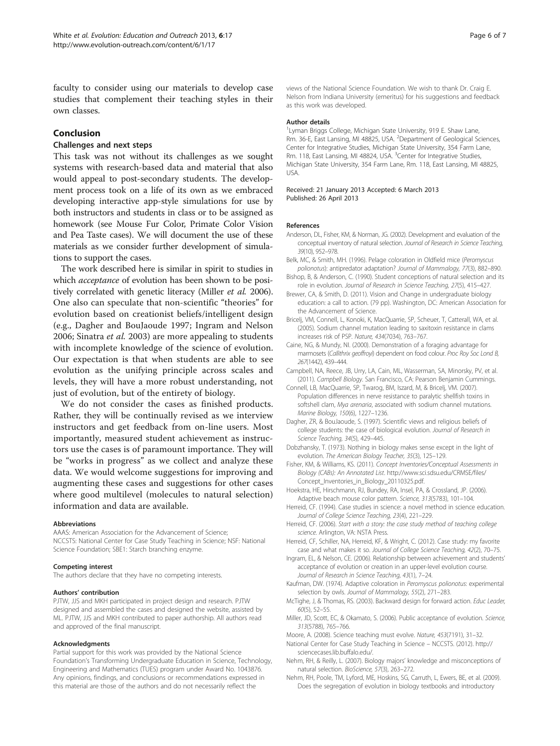<span id="page-5-0"></span>faculty to consider using our materials to develop case studies that complement their teaching styles in their own classes.

## Conclusion

#### Challenges and next steps

This task was not without its challenges as we sought systems with research-based data and material that also would appeal to post-secondary students. The development process took on a life of its own as we embraced developing interactive app-style simulations for use by both instructors and students in class or to be assigned as homework (see Mouse Fur Color, Primate Color Vision and Pea Taste cases). We will document the use of these materials as we consider further development of simulations to support the cases.

The work described here is similar in spirit to studies in which *acceptance* of evolution has been shown to be positively correlated with genetic literacy (Miller et al. 2006). One also can speculate that non-scientific "theories" for evolution based on creationist beliefs/intelligent design (e.g., Dagher and BouJaoude 1997; Ingram and Nelson 2006; Sinatra et al. [2003\)](#page-6-0) are more appealing to students with incomplete knowledge of the science of evolution. Our expectation is that when students are able to see evolution as the unifying principle across scales and levels, they will have a more robust understanding, not just of evolution, but of the entirety of biology.

We do not consider the cases as finished products. Rather, they will be continually revised as we interview instructors and get feedback from on-line users. Most importantly, measured student achievement as instructors use the cases is of paramount importance. They will be "works in progress" as we collect and analyze these data. We would welcome suggestions for improving and augmenting these cases and suggestions for other cases where good multilevel (molecules to natural selection) information and data are available.

#### Abbreviations

AAAS: American Association for the Advancement of Science; NCCSTS: National Center for Case Study Teaching in Science; NSF: National Science Foundation; SBE1: Starch branching enzyme.

#### Competing interest

The authors declare that they have no competing interests.

#### Authors' contribution

PJTW, JJS and MKH participated in project design and research. PJTW designed and assembled the cases and designed the website, assisted by ML. PJTW, JJS and MKH contributed to paper authorship. All authors read and approved of the final manuscript.

#### Acknowledgments

Partial support for this work was provided by the National Science Foundation's Transforming Undergraduate Education in Science, Technology, Engineering and Mathematics (TUES) program under Award No. 1043876. Any opinions, findings, and conclusions or recommendations expressed in this material are those of the authors and do not necessarily reflect the

#### Author details

<sup>1</sup> Lyman Briggs College, Michigan State University, 919 E. Shaw Lane, Rm. 36-E, East Lansing, MI 48825, USA. <sup>2</sup>Department of Geological Sciences Center for Integrative Studies, Michigan State University, 354 Farm Lane, Rm. 118, East Lansing, MI 48824, USA. <sup>3</sup>Center for Integrative Studies, Michigan State University, 354 Farm Lane, Rm. 118, East Lansing, MI 48825, USA.

Received: 21 January 2013 Accepted: 6 March 2013 Published: 26 April 2013

#### References

- Anderson, DL, Fisher, KM, & Norman, JG. (2002). Development and evaluation of the conceptual inventory of natural selection. Journal of Research in Science Teaching, 39(10), 952–978.
- Belk, MC, & Smith, MH. (1996). Pelage coloration in Oldfield mice (Peromyscus polionotus): antipredator adaptation? Journal of Mammalogy, 77(3), 882–890.
- Bishop, B, & Anderson, C. (1990). Student conceptions of natural selection and its role in evolution. Journal of Research in Science Teaching, 27(5), 415–427.
- Brewer, CA, & Smith, D. (2011). Vision and Change in undergraduate biology education: a call to action. (79 pp). Washington, DC: American Association for the Advancement of Science.
- Bricelj, VM, Connell, L, Konoki, K, MacQuarrie, SP, Scheuer, T, Catterall, WA, et al. (2005). Sodium channel mutation leading to saxitoxin resistance in clams increases risk of PSP. Nature, 434(7034), 763–767.
- Caine, NG, & Mundy, NI. (2000). Demonstration of a foraging advantage for marmosets (Callithrix geoffroyi) dependent on food colour. Proc Roy Soc Lond B, 267(1442), 439–444.
- Campbell, NA, Reece, JB, Urry, LA, Cain, ML, Wasserman, SA, Minorsky, PV, et al. (2011). Campbell Biology. San Francisco, CA: Pearson Benjamin Cummings.
- Connell, LB, MacQuarrie, SP, Twarog, BM, Iszard, M, & Bricelj, VM. (2007). Population differences in nerve resistance to paralytic shellfish toxins in softshell clam, Mya arenaria, associated with sodium channel mutations. Marine Biology, 150(6), 1227–1236.
- Dagher, ZR, & BouJaoude, S. (1997). Scientific views and religious beliefs of college students: the case of biological evolution. Journal of Research in Science Teaching, 34(5), 429–445.
- Dobzhansky, T. (1973). Nothing in biology makes sense except in the light of evolution. The American Biology Teacher, 35(3), 125–129.
- Fisher, KM, & Williams, KS. (2011). Concept Inventories/Conceptual Assessments in Biology (CABs): An Annotated List. [http://www.sci.sdsu.edu/CRMSE/files/](http://www.sci.sdsu.edu/CRMSE/files/Concept_Inventories_in_Biology_20110325.pdf) [Concept\\_Inventories\\_in\\_Biology\\_20110325.pdf.](http://www.sci.sdsu.edu/CRMSE/files/Concept_Inventories_in_Biology_20110325.pdf)
- Hoekstra, HE, Hirschmann, RJ, Bundey, RA, Insel, PA, & Crossland, JP. (2006). Adaptive beach mouse color pattern. Science, 313(5783), 101–104.
- Herreid, CF. (1994). Case studies in science: a novel method in science education. Journal of College Science Teaching, 23(4), 221–229.
- Herreid, CF. (2006). Start with a story: the case study method of teaching college science. Arlington, VA: NSTA Press.
- Herreid, CF, Schiller, NA, Herreid, KF, & Wright, C. (2012). Case study: my favorite case and what makes it so. Journal of College Science Teaching, 42(2), 70–75.
- Ingram, EL, & Nelson, CE. (2006). Relationship between achievement and students' acceptance of evolution or creation in an upper-level evolution course. Journal of Research in Science Teaching, 43(1), 7–24.
- Kaufman, DW. (1974). Adaptive coloration in Peromyscus polionotus: experimental selection by owls. Journal of Mammalogy, 55(2), 271–283.
- McTighe, J, & Thomas, RS. (2003). Backward design for forward action. Educ Leader, 60(5), 52–55.
- Miller, JD, Scott, EC, & Okamato, S. (2006). Public acceptance of evolution. Science, 313(5788), 765–766.
- Moore, A. (2008). Science teaching must evolve. Nature, 453(7191), 31–32.
- National Center for Case Study Teaching in Science NCCSTS. (2012). [http://](http://sciencecases.lib.buffalo.edu/) [sciencecases.lib.buffalo.edu/](http://sciencecases.lib.buffalo.edu/).
- Nehm, RH, & Reilly, L. (2007). Biology majors' knowledge and misconceptions of natural selection. BioScience, 57(3), 263–272.
- Nehm, RH, Poole, TM, Lyford, ME, Hoskins, SG, Carruth, L, Ewers, BE, et al. (2009). Does the segregation of evolution in biology textbooks and introductory